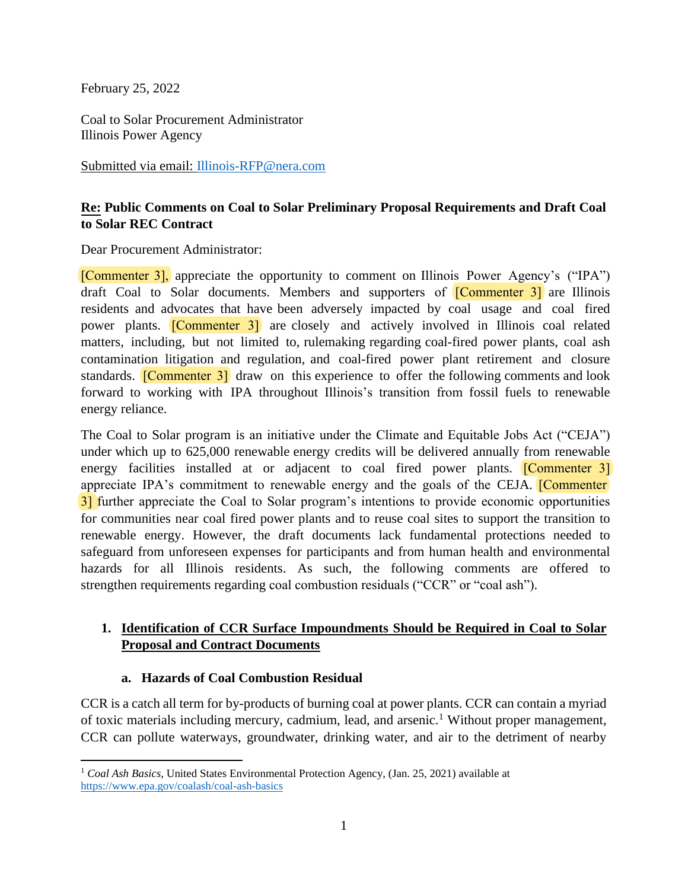February 25, 2022

Coal to Solar Procurement Administrator Illinois Power Agency

Submitted via email: [Illinois-RFP@nera.com](mailto:Illinois-RFP@nera.com) 

# **Re: Public Comments on Coal to Solar Preliminary Proposal Requirements and Draft Coal to Solar REC Contract**

Dear Procurement Administrator:

[Commenter 3], appreciate the opportunity to comment on Illinois Power Agency's ("IPA") draft Coal to Solar documents. Members and supporters of [Commenter 3] are Illinois residents and advocates that have been adversely impacted by coal usage and coal fired power plants. [Commenter 3] are closely and actively involved in Illinois coal related matters, including, but not limited to, rulemaking regarding coal-fired power plants, coal ash contamination litigation and regulation, and coal-fired power plant retirement and closure standards. **[Commenter 3]** draw on this experience to offer the following comments and look forward to working with IPA throughout Illinois's transition from fossil fuels to renewable energy reliance.

The Coal to Solar program is an initiative under the Climate and Equitable Jobs Act ("CEJA") under which up to 625,000 renewable energy credits will be delivered annually from renewable energy facilities installed at or adjacent to coal fired power plants. **[Commenter 3]** appreciate IPA's commitment to renewable energy and the goals of the CEJA. **[Commenter**] 3] further appreciate the Coal to Solar program's intentions to provide economic opportunities for communities near coal fired power plants and to reuse coal sites to support the transition to renewable energy. However, the draft documents lack fundamental protections needed to safeguard from unforeseen expenses for participants and from human health and environmental hazards for all Illinois residents. As such, the following comments are offered to strengthen requirements regarding coal combustion residuals ("CCR" or "coal ash").

# **1. Identification of CCR Surface Impoundments Should be Required in Coal to Solar Proposal and Contract Documents**

## **a. Hazards of Coal Combustion Residual**

CCR is a catch all term for by-products of burning coal at power plants. CCR can contain a myriad of toxic materials including mercury, cadmium, lead, and arsenic.<sup>1</sup> Without proper management, CCR can pollute waterways, groundwater, drinking water, and air to the detriment of nearby

<sup>&</sup>lt;sup>1</sup> Coal Ash Basics, United States Environmental Protection Agency, (Jan. 25, 2021) available at <https://www.epa.gov/coalash/coal-ash-basics>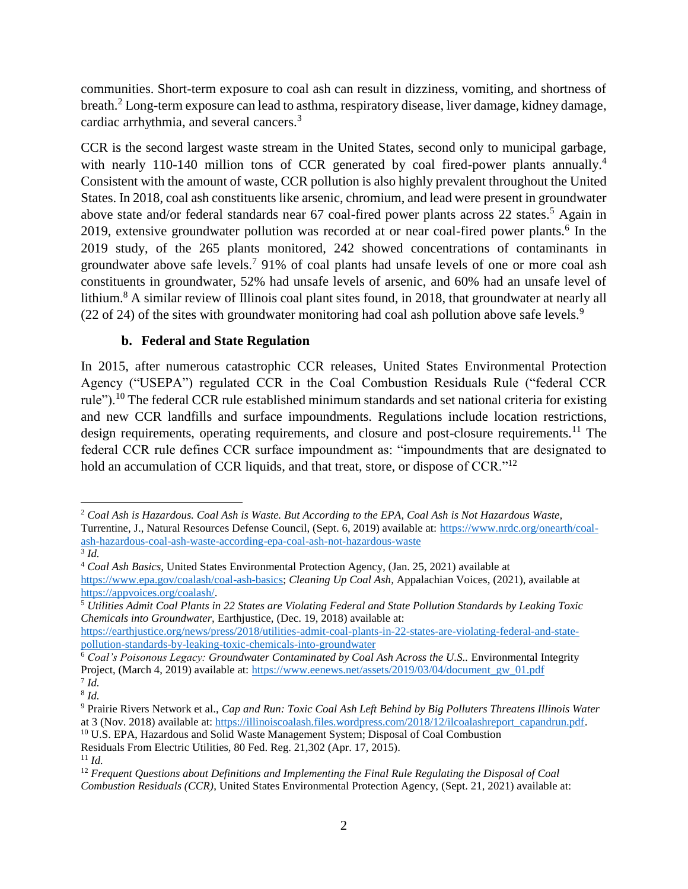communities. Short-term exposure to coal ash can result in dizziness, vomiting, and shortness of breath.<sup>2</sup> Long-term exposure can lead to asthma, respiratory disease, liver damage, kidney damage, cardiac arrhythmia, and several cancers.<sup>3</sup>

CCR is the second largest waste stream in the United States, second only to municipal garbage, with nearly 110-140 million tons of CCR generated by coal fired-power plants annually.<sup>4</sup> Consistent with the amount of waste, CCR pollution is also highly prevalent throughout the United States. In 2018, coal ash constituents like arsenic, chromium, and lead were present in groundwater above state and/or federal standards near 67 coal-fired power plants across 22 states.<sup>5</sup> Again in 2019, extensive groundwater pollution was recorded at or near coal-fired power plants.<sup>6</sup> In the 2019 study, of the 265 plants monitored, 242 showed concentrations of contaminants in groundwater above safe levels.<sup>7</sup> 91% of coal plants had unsafe levels of one or more coal ash constituents in groundwater, 52% had unsafe levels of arsenic, and 60% had an unsafe level of lithium.<sup>8</sup> A similar review of Illinois coal plant sites found, in 2018, that groundwater at nearly all (22 of 24) of the sites with groundwater monitoring had coal ash pollution above safe levels.<sup>9</sup>

### **b. Federal and State Regulation**

In 2015, after numerous catastrophic CCR releases, United States Environmental Protection Agency ("USEPA") regulated CCR in the Coal Combustion Residuals Rule ("federal CCR rule").<sup>10</sup> The federal CCR rule established minimum standards and set national criteria for existing and new CCR landfills and surface impoundments. Regulations include location restrictions, design requirements, operating requirements, and closure and post-closure requirements.<sup>11</sup> The federal CCR rule defines CCR surface impoundment as: "impoundments that are designated to hold an accumulation of CCR liquids, and that treat, store, or dispose of CCR."<sup>12</sup>

[https://earthjustice.org/news/press/2018/utilities-admit-coal-plants-in-22-states-are-violating-federal-and-state](https://earthjustice.org/news/press/2018/utilities-admit-coal-plants-in-22-states-are-violating-federal-and-state-pollution-standards-by-leaking-toxic-chemicals-into-groundwater)[pollution-standards-by-leaking-toxic-chemicals-into-groundwater](https://earthjustice.org/news/press/2018/utilities-admit-coal-plants-in-22-states-are-violating-federal-and-state-pollution-standards-by-leaking-toxic-chemicals-into-groundwater) 

<sup>2</sup> *Coal Ash is Hazardous. Coal Ash is Waste. But According to the EPA, Coal Ash is Not Hazardous Waste,*  Turrentine, J., Natural Resources Defense Council, (Sept. 6, 2019) available at: [https://www.nrdc.org/onearth/coal](https://www.nrdc.org/onearth/coal-ash-hazardous-coal-ash-waste-according-epa-coal-ash-not-hazardous-waste)[ash-hazardous-coal-ash-waste-according-epa-coal-ash-not-hazardous-waste](https://www.nrdc.org/onearth/coal-ash-hazardous-coal-ash-waste-according-epa-coal-ash-not-hazardous-waste)  3 *Id.* 

<sup>4</sup> *Coal Ash Basics,* United States Environmental Protection Agency, (Jan. 25, 2021) available at [https://www.epa.gov/coalash/coal-ash-basics;](https://www.epa.gov/coalash/coal-ash-basics) *Cleaning Up Coal Ash,* Appalachian Voices, (2021), available at [https://appvoices.org/coalash/.](https://appvoices.org/coalash/)

<sup>5</sup> *Utilities Admit Coal Plants in 22 States are Violating Federal and State Pollution Standards by Leaking Toxic Chemicals into Groundwater,* Earthjustice, (Dec. 19, 2018) available at:

<sup>&</sup>lt;sup>6</sup> Coal's Poisonous Legacy: Groundwater Contaminated by Coal Ash Across the U.S.. Environmental Integrity Project, (March 4, 2019) available at: https://www.eenews.net/assets/2019/03/04/document\_gw\_01.pdf 7 *Id.* 

<sup>8</sup> *Id.* 

<sup>9</sup> Prairie Rivers Network et al., *Cap and Run: Toxic Coal Ash Left Behind by Big Polluters Threatens Illinois Water*  at 3 (Nov. 2018) available at[: https://illinoiscoalash.files.wordpress.com/2018/12/ilcoalashreport\\_capandrun.pdf.](https://illinoiscoalash.files.wordpress.com/2018/12/ilcoalashreport_capandrun.pdf) <sup>10</sup> U.S. EPA, Hazardous and Solid Waste Management System; Disposal of Coal Combustion

Residuals From Electric Utilities, 80 Fed. Reg. 21,302 (Apr. 17, 2015).

 $11$  *Id.* 

<sup>&</sup>lt;sup>12</sup> *Frequent Questions about Definitions and Implementing the Final Rule Regulating the Disposal of Coal Combustion Residuals (CCR)*, United States Environmental Protection Agency, (Sept. 21, 2021) available at: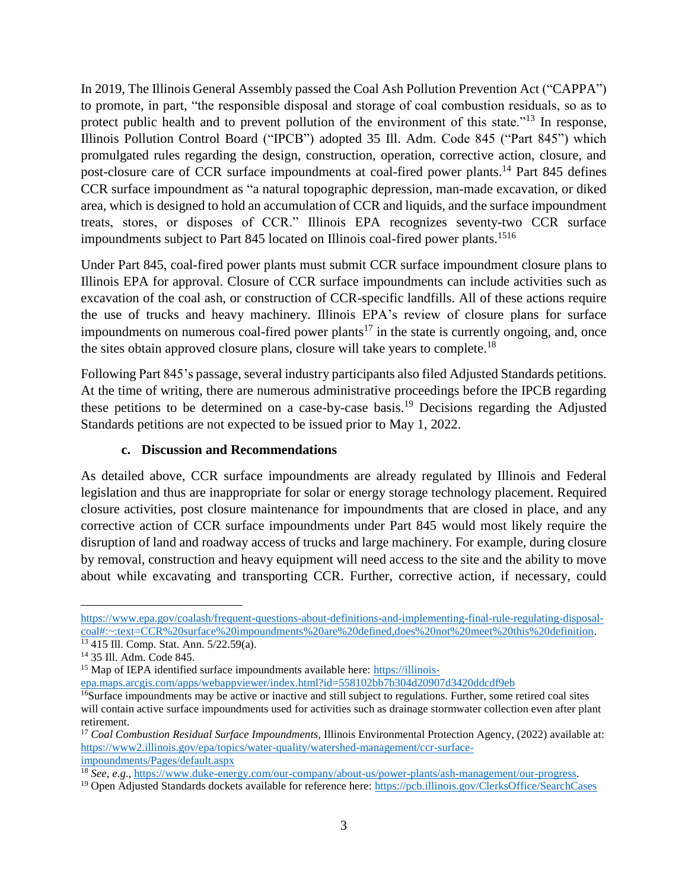In 2019, The Illinois General Assembly passed the Coal Ash Pollution Prevention Act ("CAPPA") to promote, in part, "the responsible disposal and storage of coal combustion residuals, so as to protect public health and to prevent pollution of the environment of this state."<sup>13</sup> In response, Illinois Pollution Control Board ("IPCB") adopted 35 Ill. Adm. Code 845 ("Part 845") which promulgated rules regarding the design, construction, operation, corrective action, closure, and post-closure care of CCR surface impoundments at coal-fired power plants.<sup>14</sup> Part 845 defines CCR surface impoundment as "a natural topographic depression, man-made excavation, or diked area, which is designed to hold an accumulation of CCR and liquids, and the surface impoundment treats, stores, or disposes of CCR." Illinois EPA recognizes seventy-two CCR surface impoundments subject to Part 845 located on Illinois coal-fired power plants.<sup>1516</sup>

Under Part 845, coal-fired power plants must submit CCR surface impoundment closure plans to Illinois EPA for approval. Closure of CCR surface impoundments can include activities such as excavation of the coal ash, or construction of CCR-specific landfills. All of these actions require the use of trucks and heavy machinery. Illinois EPA's review of closure plans for surface impoundments on numerous coal-fired power plants<sup>17</sup> in the state is currently ongoing, and, once the sites obtain approved closure plans, closure will take years to complete.<sup>18</sup>

Following Part 845's passage, several industry participants also filed Adjusted Standards petitions. At the time of writing, there are numerous administrative proceedings before the IPCB regarding these petitions to be determined on a case-by-case basis.<sup>19</sup> Decisions regarding the Adjusted Standards petitions are not expected to be issued prior to May 1, 2022.

#### **c. Discussion and Recommendations**

As detailed above, CCR surface impoundments are already regulated by Illinois and Federal legislation and thus are inappropriate for solar or energy storage technology placement. Required closure activities, post closure maintenance for impoundments that are closed in place, and any corrective action of CCR surface impoundments under Part 845 would most likely require the disruption of land and roadway access of trucks and large machinery. For example, during closure by removal, construction and heavy equipment will need access to the site and the ability to move about while excavating and transporting CCR. Further, corrective action, if necessary, could

[https://www.epa.gov/coalash/frequent-questions-about-definitions-and-implementing-final-rule-regulating-disposal](https://www.epa.gov/coalash/frequent-questions-about-definitions-and-implementing-final-rule-regulating-disposal-coal#:~:text=CCR%20surface%20impoundments%20are%20defined,does%20not%20meet%20this%20definition)[coal#:~:text=CCR%20surface%20impoundments%20are%20defined,does%20not%20meet%20this%20definition.](https://www.epa.gov/coalash/frequent-questions-about-definitions-and-implementing-final-rule-regulating-disposal-coal#:~:text=CCR%20surface%20impoundments%20are%20defined,does%20not%20meet%20this%20definition)

<sup>13</sup> 415 Ill. Comp. Stat. Ann. 5/22.59(a).

<sup>14</sup> 35 Ill. Adm. Code 845.

<sup>&</sup>lt;sup>15</sup> Map of IEPA identified surface impoundments available here: [https://illinois-](https://illinois-epa.maps.arcgis.com/apps/webappviewer/index.html?id=558102bb7b304d20907d3420ddcdf9eb)

[epa.maps.arcgis.com/apps/webappviewer/index.html?id=558102bb7b304d20907d3420ddcdf9eb](https://illinois-epa.maps.arcgis.com/apps/webappviewer/index.html?id=558102bb7b304d20907d3420ddcdf9eb) 

<sup>&</sup>lt;sup>16</sup>Surface impoundments may be active or inactive and still subject to regulations. Further, some retired coal sites will contain active surface impoundments used for activities such as drainage stormwater collection even after plant retirement.

<sup>17</sup> *Coal Combustion Residual Surface Impoundments*, Illinois Environmental Protection Agency, (2022) available at: [https://www2.illinois.gov/epa/topics/water-quality/watershed-management/ccr-surface](https://www2.illinois.gov/epa/topics/water-quality/watershed-management/ccr-surface-impoundments/Pages/default.aspx)[impoundments/Pages/default.aspx](https://www2.illinois.gov/epa/topics/water-quality/watershed-management/ccr-surface-impoundments/Pages/default.aspx) 

<sup>18</sup> *See*, *e*.*g*., [https://www.duke-energy.com/our-company/about-us/power-plants/ash-management/our-progress.](https://www.duke-energy.com/our-company/about-us/power-plants/ash-management/our-progress)

<sup>&</sup>lt;sup>19</sup> Open Adjusted Standards dockets available for reference here: https://pcb.illinois.gov/ClerksOffice/SearchCases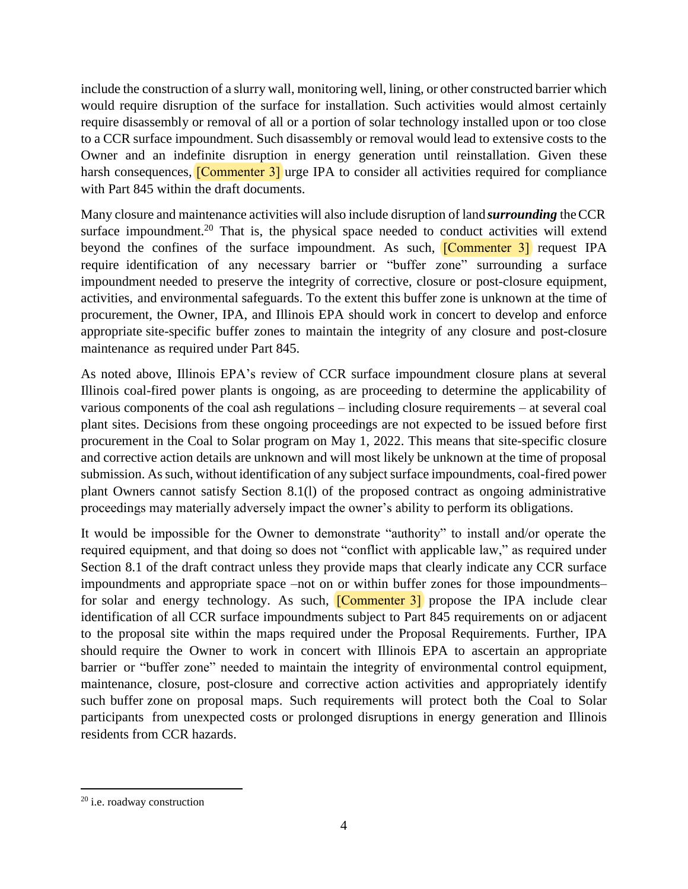include the construction of a slurry wall, monitoring well, lining, or other constructed barrier which would require disruption of the surface for installation. Such activities would almost certainly require disassembly or removal of all or a portion of solar technology installed upon or too close to a CCR surface impoundment. Such disassembly or removal would lead to extensive costs to the Owner and an indefinite disruption in energy generation until reinstallation. Given these harsh consequences, **[Commenter 3]** urge IPA to consider all activities required for compliance with Part 845 within the draft documents.

Many closure and maintenance activities will also include disruption of land *surrounding* theCCR surface impoundment.<sup>20</sup> That is, the physical space needed to conduct activities will extend beyond the confines of the surface impoundment. As such, **[Commenter 3]** request IPA require identification of any necessary barrier or "buffer zone" surrounding a surface impoundment needed to preserve the integrity of corrective, closure or post-closure equipment, activities, and environmental safeguards. To the extent this buffer zone is unknown at the time of procurement, the Owner, IPA, and Illinois EPA should work in concert to develop and enforce appropriate site-specific buffer zones to maintain the integrity of any closure and post-closure maintenance as required under Part 845.

As noted above, Illinois EPA's review of CCR surface impoundment closure plans at several Illinois coal-fired power plants is ongoing, as are proceeding to determine the applicability of various components of the coal ash regulations – including closure requirements – at several coal plant sites. Decisions from these ongoing proceedings are not expected to be issued before first procurement in the Coal to Solar program on May 1, 2022. This means that site-specific closure and corrective action details are unknown and will most likely be unknown at the time of proposal submission. As such, without identification of any subject surface impoundments, coal-fired power plant Owners cannot satisfy Section 8.1(l) of the proposed contract as ongoing administrative proceedings may materially adversely impact the owner's ability to perform its obligations.

It would be impossible for the Owner to demonstrate "authority" to install and/or operate the required equipment, and that doing so does not "conflict with applicable law," as required under Section 8.1 of the draft contract unless they provide maps that clearly indicate any CCR surface impoundments and appropriate space –not on or within buffer zones for those impoundments– for solar and energy technology. As such, [Commenter 3] propose the IPA include clear identification of all CCR surface impoundments subject to Part 845 requirements on or adjacent to the proposal site within the maps required under the Proposal Requirements. Further, IPA should require the Owner to work in concert with Illinois EPA to ascertain an appropriate barrier or "buffer zone" needed to maintain the integrity of environmental control equipment, maintenance, closure, post-closure and corrective action activities and appropriately identify such buffer zone on proposal maps. Such requirements will protect both the Coal to Solar participants from unexpected costs or prolonged disruptions in energy generation and Illinois residents from CCR hazards.

<sup>20</sup> i.e. roadway construction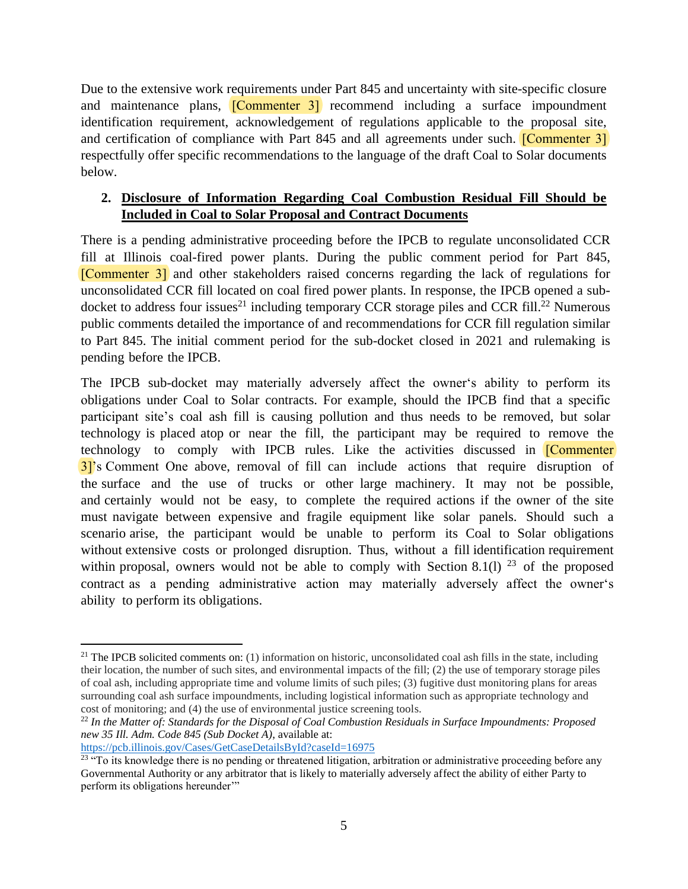Due to the extensive work requirements under Part 845 and uncertainty with site-specific closure and maintenance plans, **[Commenter 3]** recommend including a surface impoundment identification requirement, acknowledgement of regulations applicable to the proposal site, and certification of compliance with Part 845 and all agreements under such. **[Commenter 3]** respectfully offer specific recommendations to the language of the draft Coal to Solar documents below.

## **2. Disclosure of Information Regarding Coal Combustion Residual Fill Should be Included in Coal to Solar Proposal and Contract Documents**

There is a pending administrative proceeding before the IPCB to regulate unconsolidated CCR fill at Illinois coal-fired power plants. During the public comment period for Part 845, [Commenter 3] and other stakeholders raised concerns regarding the lack of regulations for unconsolidated CCR fill located on coal fired power plants. In response, the IPCB opened a subdocket to address four issues<sup>21</sup> including temporary CCR storage piles and CCR fill.<sup>22</sup> Numerous public comments detailed the importance of and recommendations for CCR fill regulation similar to Part 845. The initial comment period for the sub-docket closed in 2021 and rulemaking is pending before the IPCB.

The IPCB sub-docket may materially adversely affect the owner's ability to perform its obligations under Coal to Solar contracts. For example, should the IPCB find that a specific participant site's coal ash fill is causing pollution and thus needs to be removed, but solar technology is placed atop or near the fill, the participant may be required to remove the technology to comply with IPCB rules. Like the activities discussed in **[Commenter**] 3]'s Comment One above, removal of fill can include actions that require disruption of the surface and the use of trucks or other large machinery. It may not be possible, and certainly would not be easy, to complete the required actions if the owner of the site must navigate between expensive and fragile equipment like solar panels. Should such a scenario arise, the participant would be unable to perform its Coal to Solar obligations without extensive costs or prolonged disruption. Thus, without a fill identification requirement within proposal, owners would not be able to comply with Section 8.1(1)  $^{23}$  of the proposed contract as a pending administrative action may materially adversely affect the owner's ability to perform its obligations.

<https://pcb.illinois.gov/Cases/GetCaseDetailsById?caseId=16975>

<sup>&</sup>lt;sup>21</sup> The IPCB solicited comments on: (1) information on historic, unconsolidated coal ash fills in the state, including their location, the number of such sites, and environmental impacts of the fill; (2) the use of temporary storage piles of coal ash, including appropriate time and volume limits of such piles; (3) fugitive dust monitoring plans for areas surrounding coal ash surface impoundments, including logistical information such as appropriate technology and cost of monitoring; and (4) the use of environmental justice screening tools.

<sup>22</sup> *In the Matter of: Standards for the Disposal of Coal Combustion Residuals in Surface Impoundments: Proposed new 35 Ill. Adm. Code 845 (Sub Docket A)*, available at:

 $23$  "To its knowledge there is no pending or threatened litigation, arbitration or administrative proceeding before any Governmental Authority or any arbitrator that is likely to materially adversely affect the ability of either Party to perform its obligations hereunder"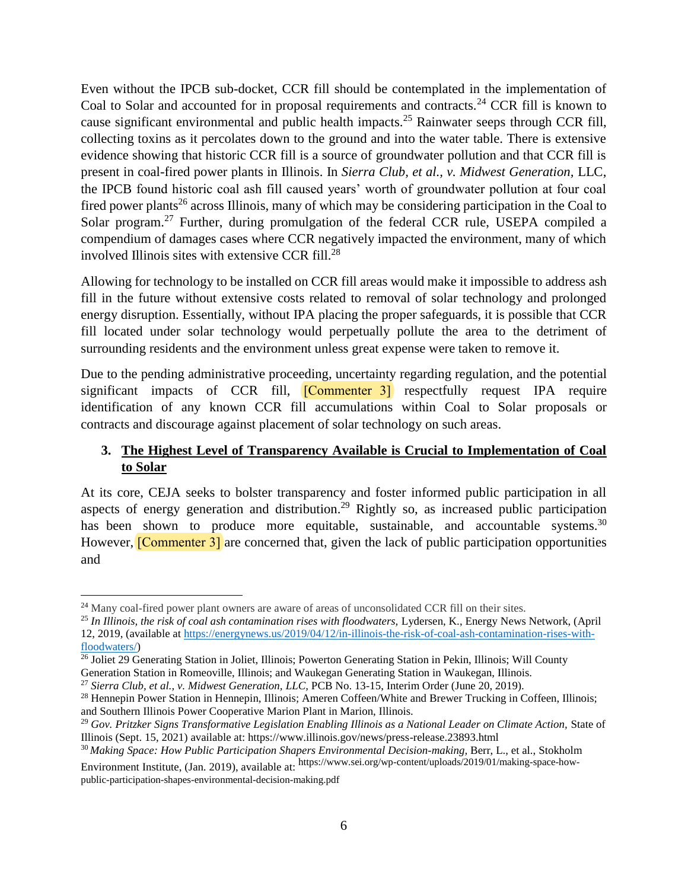Even without the IPCB sub-docket, CCR fill should be contemplated in the implementation of Coal to Solar and accounted for in proposal requirements and contracts.<sup>24</sup> CCR fill is known to cause significant environmental and public health impacts.<sup>25</sup> Rainwater seeps through CCR fill, collecting toxins as it percolates down to the ground and into the water table. There is extensive evidence showing that historic CCR fill is a source of groundwater pollution and that CCR fill is present in coal-fired power plants in Illinois. In *Sierra Club, et al., v. Midwest Generation,* LLC, the IPCB found historic coal ash fill caused years' worth of groundwater pollution at four coal fired power plants<sup>26</sup> across Illinois, many of which may be considering participation in the Coal to Solar program.<sup>27</sup> Further, during promulgation of the federal CCR rule, USEPA compiled a compendium of damages cases where CCR negatively impacted the environment, many of which involved Illinois sites with extensive CCR fill.<sup>28</sup>

Allowing for technology to be installed on CCR fill areas would make it impossible to address ash fill in the future without extensive costs related to removal of solar technology and prolonged energy disruption. Essentially, without IPA placing the proper safeguards, it is possible that CCR fill located under solar technology would perpetually pollute the area to the detriment of surrounding residents and the environment unless great expense were taken to remove it.

Due to the pending administrative proceeding, uncertainty regarding regulation, and the potential significant impacts of CCR fill, **[Commenter 3]** respectfully request IPA require identification of any known CCR fill accumulations within Coal to Solar proposals or contracts and discourage against placement of solar technology on such areas.

# **3. The Highest Level of Transparency Available is Crucial to Implementation of Coal to Solar**

At its core, CEJA seeks to bolster transparency and foster informed public participation in all aspects of energy generation and distribution.<sup>29</sup> Rightly so, as increased public participation has been shown to produce more equitable, sustainable, and accountable systems.<sup>30</sup> However, **[Commenter 3]** are concerned that, given the lack of public participation opportunities and

public-participation-shapes-environmental-decision-making.pdf

<sup>&</sup>lt;sup>24</sup> Many coal-fired power plant owners are aware of areas of unconsolidated CCR fill on their sites.

<sup>25</sup> *In Illinois, the risk of coal ash contamination rises with floodwaters,* Lydersen, K., Energy News Network, (April 12, 2019, (available a[t https://energynews.us/2019/04/12/in-illinois-the-risk-of-coal-ash-contamination-rises-with](https://energynews.us/2019/04/12/in-illinois-the-risk-of-coal-ash-contamination-rises-with-floodwaters/)[floodwaters/\)](https://energynews.us/2019/04/12/in-illinois-the-risk-of-coal-ash-contamination-rises-with-floodwaters/)

 $\frac{26}{10}$  Joliet 29 Generating Station in Joliet, Illinois; Powerton Generating Station in Pekin, Illinois; Will County Generation Station in Romeoville, Illinois; and Waukegan Generating Station in Waukegan, Illinois.

<sup>27</sup> *Sierra Club, et al., v. Midwest Generation, LLC,* PCB No. 13-15, Interim Order (June 20, 2019).

<sup>&</sup>lt;sup>28</sup> Hennepin Power Station in Hennepin, Illinois; Ameren Coffeen/White and Brewer Trucking in Coffeen, Illinois; and Southern Illinois Power Cooperative Marion Plant in Marion, Illinois.

<sup>29</sup> *Gov. Pritzker Signs Transformative Legislation Enabling Illinois as a National Leader on Climate Action,* State of Illinois (Sept. 15, 2021) available at: https://www.illinois.gov/news/press-release.23893.html

<sup>&</sup>lt;sup>30</sup> Making Space: How Public Participation Shapers Environmental Decision-making, Berr, L., et al., Stokholm Environment Institute, (Jan. 2019), available at: https://www.sei.org/wp-content/uploads/2019/01/making-space-how-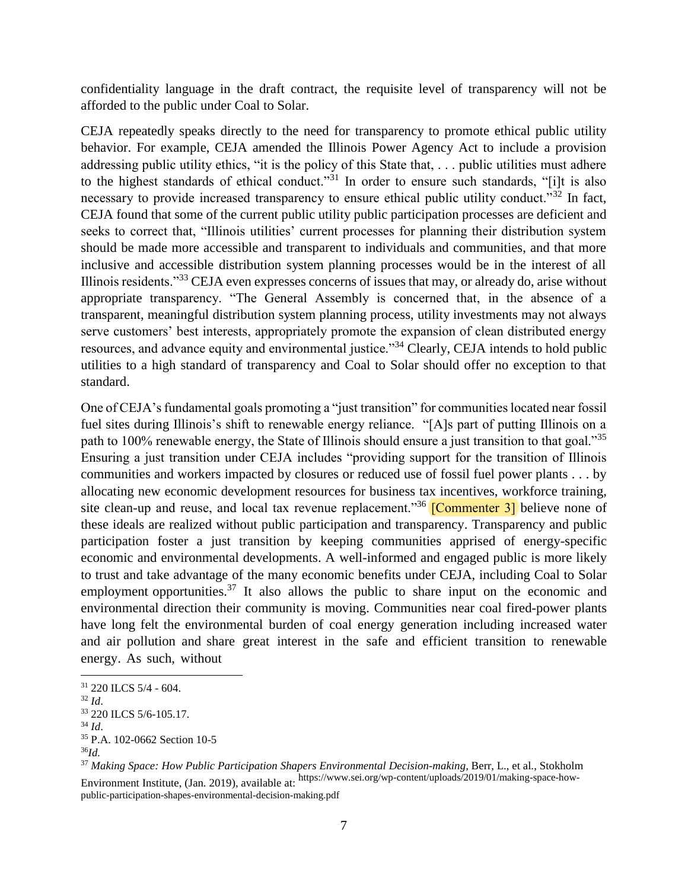confidentiality language in the draft contract, the requisite level of transparency will not be afforded to the public under Coal to Solar.

CEJA repeatedly speaks directly to the need for transparency to promote ethical public utility behavior. For example, CEJA amended the Illinois Power Agency Act to include a provision addressing public utility ethics, "it is the policy of this State that, . . . public utilities must adhere to the highest standards of ethical conduct."<sup>31</sup> In order to ensure such standards, "[i]t is also necessary to provide increased transparency to ensure ethical public utility conduct."<sup>32</sup> In fact, CEJA found that some of the current public utility public participation processes are deficient and seeks to correct that, "Illinois utilities' current processes for planning their distribution system should be made more accessible and transparent to individuals and communities, and that more inclusive and accessible distribution system planning processes would be in the interest of all Illinois residents."<sup>33</sup> CEJA even expresses concerns of issues that may, or already do, arise without appropriate transparency. "The General Assembly is concerned that, in the absence of a transparent, meaningful distribution system planning process, utility investments may not always serve customers' best interests, appropriately promote the expansion of clean distributed energy resources, and advance equity and environmental justice."<sup>34</sup> Clearly, CEJA intends to hold public utilities to a high standard of transparency and Coal to Solar should offer no exception to that standard.

One of CEJA's fundamental goals promoting a "just transition" for communities located near fossil fuel sites during Illinois's shift to renewable energy reliance. "[A]s part of putting Illinois on a path to 100% renewable energy, the State of Illinois should ensure a just transition to that goal."<sup>35</sup> Ensuring a just transition under CEJA includes "providing support for the transition of Illinois communities and workers impacted by closures or reduced use of fossil fuel power plants . . . by allocating new economic development resources for business tax incentives, workforce training, site clean-up and reuse, and local tax revenue replacement."<sup>36</sup> [Commenter 3] believe none of these ideals are realized without public participation and transparency. Transparency and public participation foster a just transition by keeping communities apprised of energy-specific economic and environmental developments. A well-informed and engaged public is more likely to trust and take advantage of the many economic benefits under CEJA, including Coal to Solar employment opportunities.<sup>37</sup> It also allows the public to share input on the economic and environmental direction their community is moving. Communities near coal fired-power plants have long felt the environmental burden of coal energy generation including increased water and air pollution and share great interest in the safe and efficient transition to renewable energy. As such, without

<sup>31</sup> 220 ILCS 5/4 - 604.

<sup>32</sup> *Id*.

<sup>33</sup> 220 ILCS 5/6-105.17*.*

<sup>34</sup> *Id*.

<sup>35</sup> P.A. 102-0662 Section 10-5

<sup>36</sup>*Id.* 

<sup>&</sup>lt;sup>37</sup> Making Space: How Public Participation Shapers Environmental Decision-making, Berr, L., et al., Stokholm Environment Institute, (Jan. 2019), available at: https://www.sei.org/wp-content/uploads/2019/01/making-space-howpublic-participation-shapes-environmental-decision-making.pdf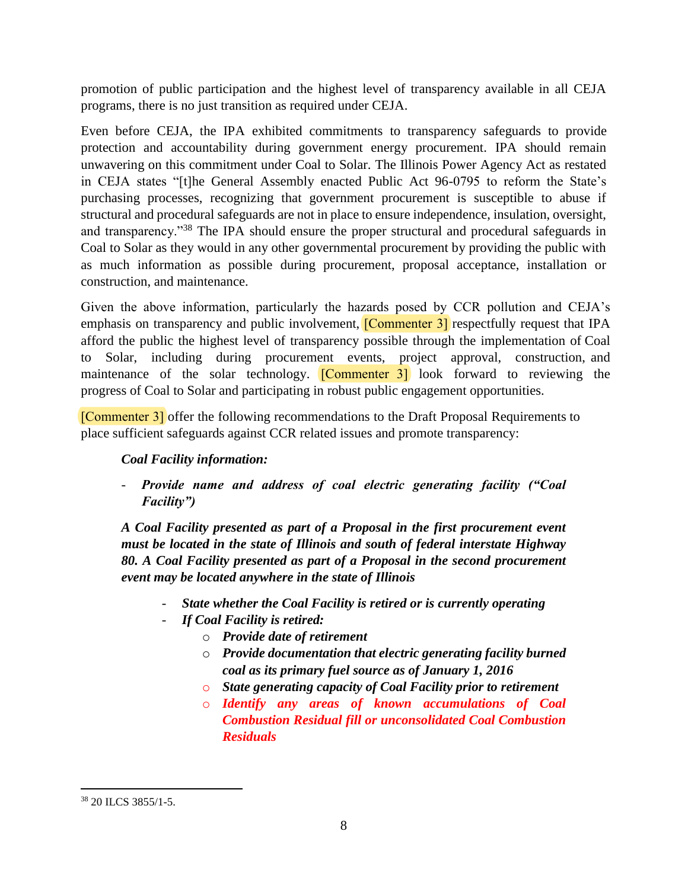promotion of public participation and the highest level of transparency available in all CEJA programs, there is no just transition as required under CEJA.

Even before CEJA, the IPA exhibited commitments to transparency safeguards to provide protection and accountability during government energy procurement. IPA should remain unwavering on this commitment under Coal to Solar. The Illinois Power Agency Act as restated in CEJA states "[t]he General Assembly enacted Public Act 96-0795 to reform the State's purchasing processes, recognizing that government procurement is susceptible to abuse if structural and procedural safeguards are not in place to ensure independence, insulation, oversight, and transparency."<sup>38</sup> The IPA should ensure the proper structural and procedural safeguards in Coal to Solar as they would in any other governmental procurement by providing the public with as much information as possible during procurement, proposal acceptance, installation or construction, and maintenance.

Given the above information, particularly the hazards posed by CCR pollution and CEJA's emphasis on transparency and public involvement, **[Commenter 3]** respectfully request that IPA afford the public the highest level of transparency possible through the implementation of Coal to Solar, including during procurement events, project approval, construction, and maintenance of the solar technology.  $[Commenter 3]$  look forward to reviewing the progress of Coal to Solar and participating in robust public engagement opportunities.

[Commenter 3] offer the following recommendations to the Draft Proposal Requirements to place sufficient safeguards against CCR related issues and promote transparency:

# *Coal Facility information:*

- *Provide name and address of coal electric generating facility ("Coal Facility")*

*A Coal Facility presented as part of a Proposal in the first procurement event must be located in the state of Illinois and south of federal interstate Highway 80. A Coal Facility presented as part of a Proposal in the second procurement event may be located anywhere in the state of Illinois*

- *State whether the Coal Facility is retired or is currently operating*
- *If Coal Facility is retired:*
	- o *Provide date of retirement*
	- o *Provide documentation that electric generating facility burned coal as its primary fuel source as of January 1, 2016*
	- o *State generating capacity of Coal Facility prior to retirement*
	- o *Identify any areas of known accumulations of Coal Combustion Residual fill or unconsolidated Coal Combustion Residuals*

<sup>38</sup> 20 ILCS 3855/1-5.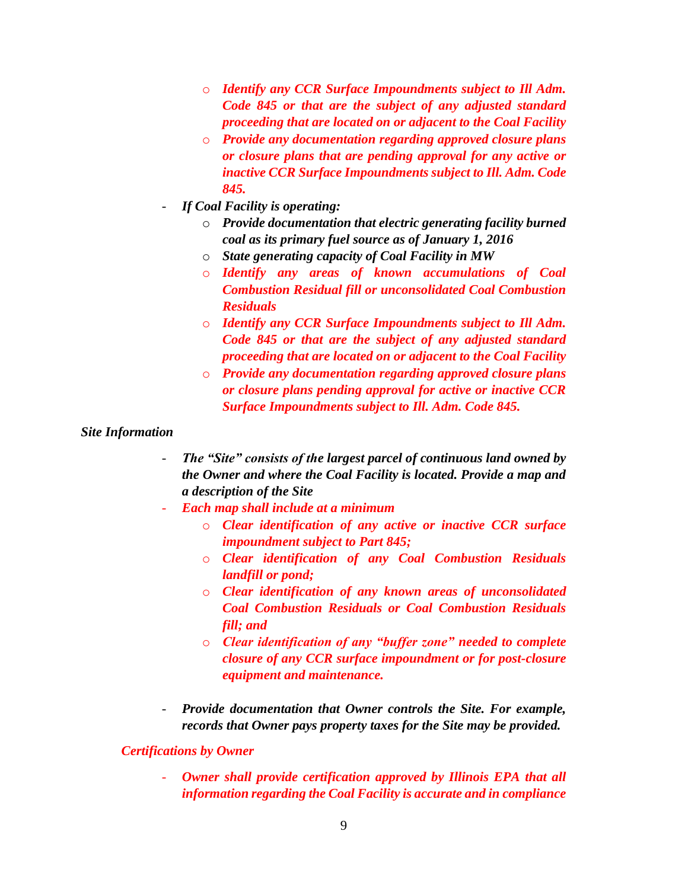- o *Identify any CCR Surface Impoundments subject to Ill Adm. Code 845 or that are the subject of any adjusted standard proceeding that are located on or adjacent to the Coal Facility*
- o *Provide any documentation regarding approved closure plans or closure plans that are pending approval for any active or inactive CCR Surface Impoundments subject to Ill. Adm. Code 845.*
- *If Coal Facility is operating:*
	- o *Provide documentation that electric generating facility burned coal as its primary fuel source as of January 1, 2016*
	- o *State generating capacity of Coal Facility in MW*
	- o *Identify any areas of known accumulations of Coal Combustion Residual fill or unconsolidated Coal Combustion Residuals*
	- o *Identify any CCR Surface Impoundments subject to Ill Adm. Code 845 or that are the subject of any adjusted standard proceeding that are located on or adjacent to the Coal Facility*
	- o *Provide any documentation regarding approved closure plans or closure plans pending approval for active or inactive CCR Surface Impoundments subject to Ill. Adm. Code 845.*

#### *Site Information*

- *The "Site" consists of the largest parcel of continuous land owned by the Owner and where the Coal Facility is located. Provide a map and a description of the Site*
- *Each map shall include at a minimum*
	- o *Clear identification of any active or inactive CCR surface impoundment subject to Part 845;*
	- o *Clear identification of any Coal Combustion Residuals landfill or pond;*
	- o *Clear identification of any known areas of unconsolidated Coal Combustion Residuals or Coal Combustion Residuals fill; and*
	- o *Clear identification of any "buffer zone" needed to complete closure of any CCR surface impoundment or for post-closure equipment and maintenance.*
- *Provide documentation that Owner controls the Site. For example, records that Owner pays property taxes for the Site may be provided.*

#### *Certifications by Owner*

**Owner shall provide certification approved by Illinois EPA that all** *information regarding the Coal Facility is accurate and in compliance*